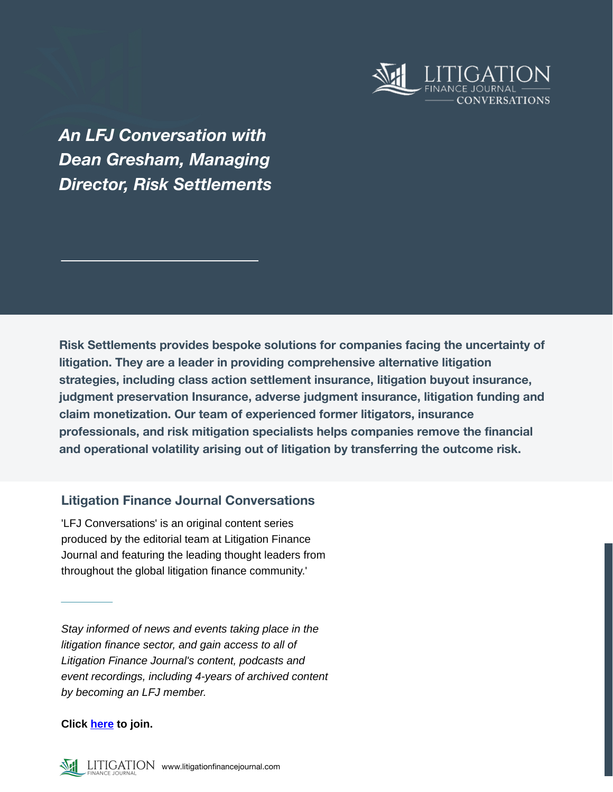

*An LFJ Conversation with Dean Gresham, Managing Director, Risk Settlements*

**Risk Settlements provides bespoke solutions for companies facing the uncertainty of litigation. They are a leader in providing comprehensive alternative litigation strategies, including class action settlement insurance, litigation buyout insurance, judgment preservation Insurance, adverse judgment insurance, litigation funding and claim monetization. Our team of experienced former litigators, insurance professionals, and risk mitigation specialists helps companies remove the financial and operational volatility arising out of litigation by transferring the outcome risk.**

## **Litigation Finance Journal Conversations**

'LFJ Conversations' is an original content series produced by the editorial team at Litigation Finance Journal and featuring the leading thought leaders from throughout the global litigation finance community.'

*Stay informed of news and events taking place in the litigation finance sector, and gain access to all of Litigation Finance Journal's content, podcasts and event recordings, including 4-years of archived content by becoming an LFJ member.*

**Click [here](https://litigationfinancejournal.com/pricing/) to join.**

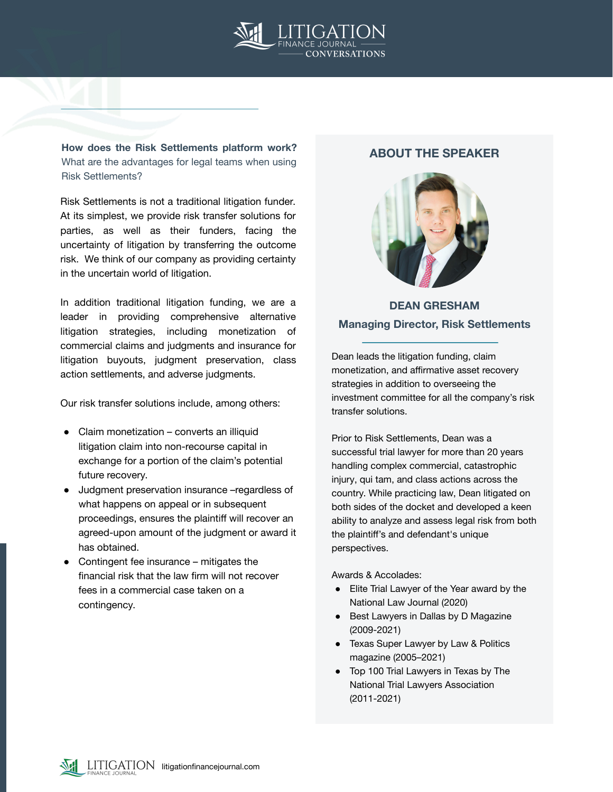

**How does the Risk Settlements platform work?**  What are the advantages for legal teams when using Risk Settlements?

Risk Settlements is not a traditional litigation funder. At its simplest, we provide risk transfer solutions for parties, as well as their funders, facing the uncertainty of litigation by transferring the outcome risk. We think of our company as providing certainty in the uncertain world of litigation.

In addition traditional litigation funding, we are a leader in providing comprehensive alternative litigation strategies, including monetization of commercial claims and judgments and insurance for litigation buyouts, judgment preservation, class action settlements, and adverse judgments.

Our risk transfer solutions include, among others:

- Claim monetization converts an illiquid litigation claim into non-recourse capital in exchange for a portion of the claim's potential future recovery.
- Judgment preservation insurance –regardless of what happens on appeal or in subsequent proceedings, ensures the plaintiff will recover an agreed-upon amount of the judgment or award it has obtained.
- Contingent fee insurance mitigates the financial risk that the law firm will not recover fees in a commercial case taken on a contingency.

## **ABOUT THE SPEAKER**



# **DEAN GRESHAM Managing Director, Risk Settlements**

Dean leads the litigation funding, claim monetization, and affirmative asset recovery strategies in addition to overseeing the investment committee for all the company's risk transfer solutions.

Prior to Risk Settlements, Dean was a successful trial lawyer for more than 20 years handling complex commercial, catastrophic injury, qui tam, and class actions across the country. While practicing law, Dean litigated on both sides of the docket and developed a keen ability to analyze and assess legal risk from both the plaintiff's and defendant's unique perspectives.

#### Awards & Accolades:

- Elite Trial Lawyer of the Year award by the National Law Journal (2020)
- Best Lawyers in Dallas by D Magazine (2009-2021)
- Texas Super Lawyer by Law & Politics magazine (2005–2021)
- Top 100 Trial Lawyers in Texas by The National Trial Lawyers Association (2011-2021)

LITIGATION litigationfinancejournal.com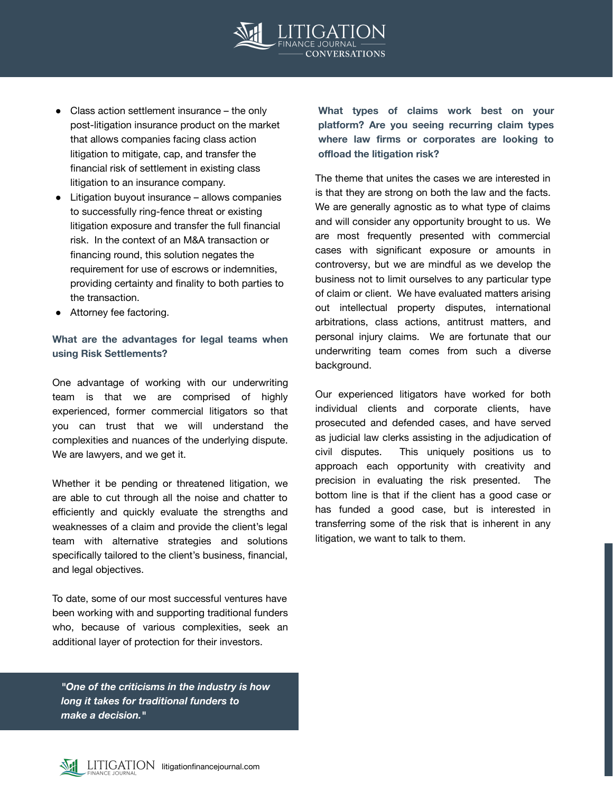

- Class action settlement insurance the only post-litigation insurance product on the market that allows companies facing class action litigation to mitigate, cap, and transfer the financial risk of settlement in existing class litigation to an insurance company.
- Litigation buyout insurance  $-$  allows companies to successfully ring-fence threat or existing litigation exposure and transfer the full financial risk. In the context of an M&A transaction or financing round, this solution negates the requirement for use of escrows or indemnities, providing certainty and finality to both parties to the transaction.
- Attorney fee factoring.

## **What are the advantages for legal teams when using Risk Settlements?**

One advantage of working with our underwriting team is that we are comprised of highly experienced, former commercial litigators so that you can trust that we will understand the complexities and nuances of the underlying dispute. We are lawyers, and we get it.

Whether it be pending or threatened litigation, we are able to cut through all the noise and chatter to efficiently and quickly evaluate the strengths and weaknesses of a claim and provide the client's legal team with alternative strategies and solutions specifically tailored to the client's business, financial, and legal objectives.

To date, some of our most successful ventures have been working with and supporting traditional funders who, because of various complexities, seek an additional layer of protection for their investors.

*"One of the criticisms in the industry is how long it takes for traditional funders to make a decision."*

**What types of claims work best on your platform? Are you seeing recurring claim types where law firms or corporates are looking to offload the litigation risk?**

The theme that unites the cases we are interested in is that they are strong on both the law and the facts. We are generally agnostic as to what type of claims and will consider any opportunity brought to us. We are most frequently presented with commercial cases with significant exposure or amounts in controversy, but we are mindful as we develop the business not to limit ourselves to any particular type of claim or client. We have evaluated matters arising out intellectual property disputes, international arbitrations, class actions, antitrust matters, and personal injury claims. We are fortunate that our underwriting team comes from such a diverse background.

Our experienced litigators have worked for both individual clients and corporate clients, have prosecuted and defended cases, and have served as judicial law clerks assisting in the adjudication of civil disputes. This uniquely positions us to approach each opportunity with creativity and precision in evaluating the risk presented. The bottom line is that if the client has a good case or has funded a good case, but is interested in transferring some of the risk that is inherent in any litigation, we want to talk to them.